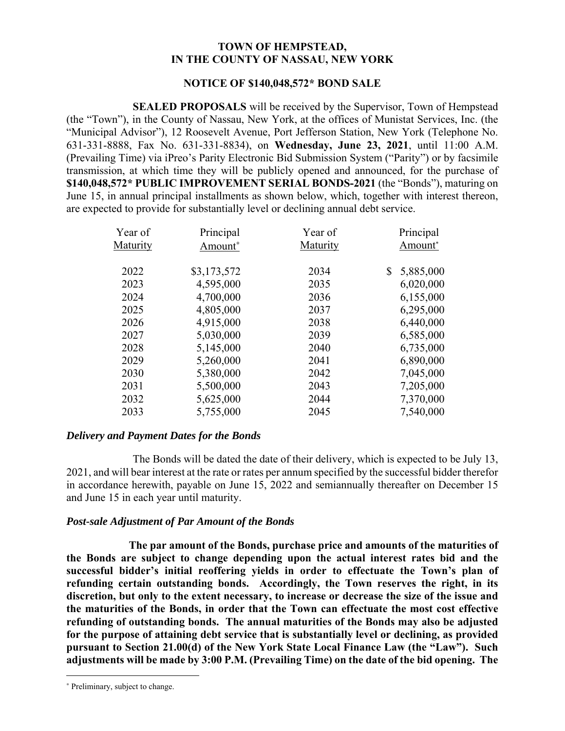#### **TOWN OF HEMPSTEAD, IN THE COUNTY OF NASSAU, NEW YORK**

#### **NOTICE OF \$140,048,572\* BOND SALE**

**SEALED PROPOSALS** will be received by the Supervisor, Town of Hempstead (the "Town"), in the County of Nassau, New York, at the offices of Munistat Services, Inc. (the "Municipal Advisor"), 12 Roosevelt Avenue, Port Jefferson Station, New York (Telephone No. 631-331-8888, Fax No. 631-331-8834), on **Wednesday, June 23, 2021**, until 11:00 A.M. (Prevailing Time) via iPreo's Parity Electronic Bid Submission System ("Parity") or by facsimile transmission, at which time they will be publicly opened and announced, for the purchase of **\$140,048,572\* PUBLIC IMPROVEMENT SERIAL BONDS-2021** (the "Bonds"), maturing on June 15, in annual principal installments as shown below, which, together with interest thereon, are expected to provide for substantially level or declining annual debt service.

| Year of  | Principal   | Year of  | Principal       |
|----------|-------------|----------|-----------------|
| Maturity | Amount*     | Maturity | Amount*         |
|          |             |          |                 |
| 2022     | \$3,173,572 | 2034     | \$<br>5,885,000 |
| 2023     | 4,595,000   | 2035     | 6,020,000       |
| 2024     | 4,700,000   | 2036     | 6,155,000       |
| 2025     | 4,805,000   | 2037     | 6,295,000       |
| 2026     | 4,915,000   | 2038     | 6,440,000       |
| 2027     | 5,030,000   | 2039     | 6,585,000       |
| 2028     | 5,145,000   | 2040     | 6,735,000       |
| 2029     | 5,260,000   | 2041     | 6,890,000       |
| 2030     | 5,380,000   | 2042     | 7,045,000       |
| 2031     | 5,500,000   | 2043     | 7,205,000       |
| 2032     | 5,625,000   | 2044     | 7,370,000       |
| 2033     | 5,755,000   | 2045     | 7,540,000       |
|          |             |          |                 |

## *Delivery and Payment Dates for the Bonds*

The Bonds will be dated the date of their delivery, which is expected to be July 13, 2021, and will bear interest at the rate or rates per annum specified by the successful bidder therefor in accordance herewith, payable on June 15, 2022 and semiannually thereafter on December 15 and June 15 in each year until maturity.

# *Post-sale Adjustment of Par Amount of the Bonds*

**The par amount of the Bonds, purchase price and amounts of the maturities of the Bonds are subject to change depending upon the actual interest rates bid and the successful bidder's initial reoffering yields in order to effectuate the Town's plan of refunding certain outstanding bonds. Accordingly, the Town reserves the right, in its discretion, but only to the extent necessary, to increase or decrease the size of the issue and the maturities of the Bonds, in order that the Town can effectuate the most cost effective refunding of outstanding bonds. The annual maturities of the Bonds may also be adjusted for the purpose of attaining debt service that is substantially level or declining, as provided pursuant to Section 21.00(d) of the New York State Local Finance Law (the "Law"). Such adjustments will be made by 3:00 P.M. (Prevailing Time) on the date of the bid opening. The** 

1

<sup>∗</sup> Preliminary, subject to change.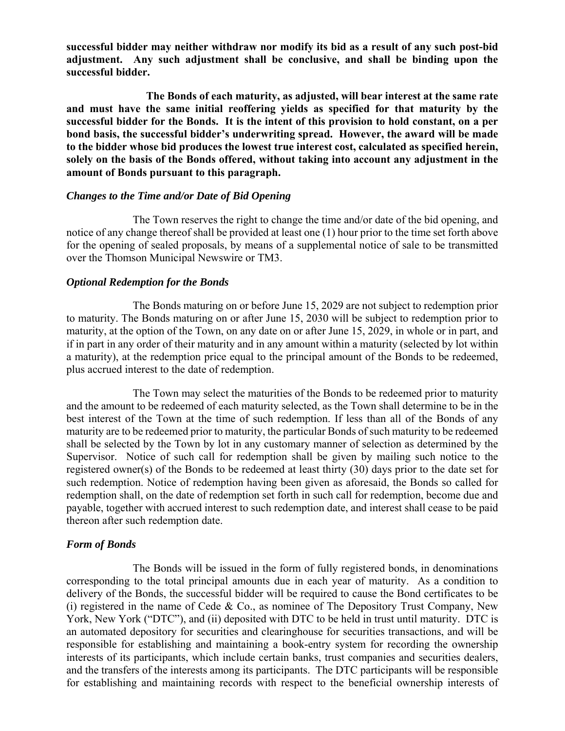**successful bidder may neither withdraw nor modify its bid as a result of any such post-bid adjustment. Any such adjustment shall be conclusive, and shall be binding upon the successful bidder.** 

**The Bonds of each maturity, as adjusted, will bear interest at the same rate and must have the same initial reoffering yields as specified for that maturity by the successful bidder for the Bonds. It is the intent of this provision to hold constant, on a per bond basis, the successful bidder's underwriting spread. However, the award will be made to the bidder whose bid produces the lowest true interest cost, calculated as specified herein, solely on the basis of the Bonds offered, without taking into account any adjustment in the amount of Bonds pursuant to this paragraph.** 

#### *Changes to the Time and/or Date of Bid Opening*

The Town reserves the right to change the time and/or date of the bid opening, and notice of any change thereof shall be provided at least one (1) hour prior to the time set forth above for the opening of sealed proposals, by means of a supplemental notice of sale to be transmitted over the Thomson Municipal Newswire or TM3.

#### *Optional Redemption for the Bonds*

The Bonds maturing on or before June 15, 2029 are not subject to redemption prior to maturity. The Bonds maturing on or after June 15, 2030 will be subject to redemption prior to maturity, at the option of the Town, on any date on or after June 15, 2029, in whole or in part, and if in part in any order of their maturity and in any amount within a maturity (selected by lot within a maturity), at the redemption price equal to the principal amount of the Bonds to be redeemed, plus accrued interest to the date of redemption.

The Town may select the maturities of the Bonds to be redeemed prior to maturity and the amount to be redeemed of each maturity selected, as the Town shall determine to be in the best interest of the Town at the time of such redemption. If less than all of the Bonds of any maturity are to be redeemed prior to maturity, the particular Bonds of such maturity to be redeemed shall be selected by the Town by lot in any customary manner of selection as determined by the Supervisor. Notice of such call for redemption shall be given by mailing such notice to the registered owner(s) of the Bonds to be redeemed at least thirty (30) days prior to the date set for such redemption. Notice of redemption having been given as aforesaid, the Bonds so called for redemption shall, on the date of redemption set forth in such call for redemption, become due and payable, together with accrued interest to such redemption date, and interest shall cease to be paid thereon after such redemption date.

## *Form of Bonds*

The Bonds will be issued in the form of fully registered bonds, in denominations corresponding to the total principal amounts due in each year of maturity. As a condition to delivery of the Bonds, the successful bidder will be required to cause the Bond certificates to be (i) registered in the name of Cede & Co., as nominee of The Depository Trust Company, New York, New York ("DTC"), and (ii) deposited with DTC to be held in trust until maturity. DTC is an automated depository for securities and clearinghouse for securities transactions, and will be responsible for establishing and maintaining a book-entry system for recording the ownership interests of its participants, which include certain banks, trust companies and securities dealers, and the transfers of the interests among its participants. The DTC participants will be responsible for establishing and maintaining records with respect to the beneficial ownership interests of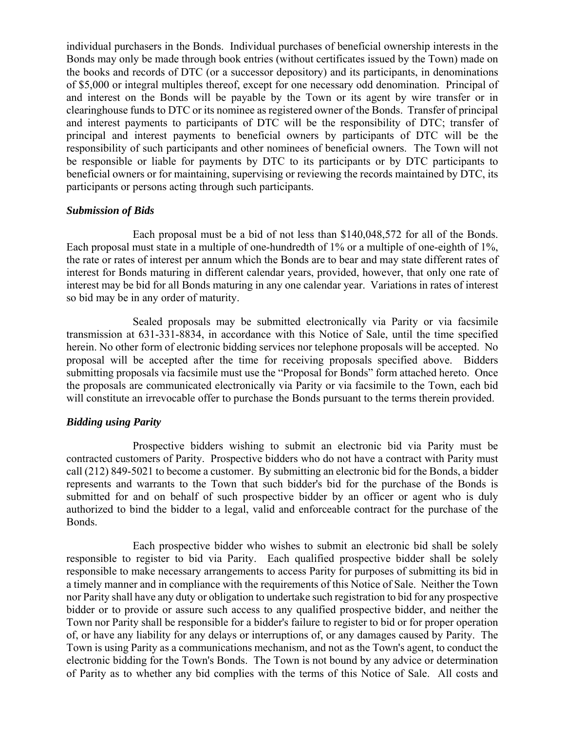individual purchasers in the Bonds. Individual purchases of beneficial ownership interests in the Bonds may only be made through book entries (without certificates issued by the Town) made on the books and records of DTC (or a successor depository) and its participants, in denominations of \$5,000 or integral multiples thereof, except for one necessary odd denomination. Principal of and interest on the Bonds will be payable by the Town or its agent by wire transfer or in clearinghouse funds to DTC or its nominee as registered owner of the Bonds. Transfer of principal and interest payments to participants of DTC will be the responsibility of DTC; transfer of principal and interest payments to beneficial owners by participants of DTC will be the responsibility of such participants and other nominees of beneficial owners. The Town will not be responsible or liable for payments by DTC to its participants or by DTC participants to beneficial owners or for maintaining, supervising or reviewing the records maintained by DTC, its participants or persons acting through such participants.

## *Submission of Bids*

Each proposal must be a bid of not less than \$140,048,572 for all of the Bonds. Each proposal must state in a multiple of one-hundredth of 1% or a multiple of one-eighth of 1%, the rate or rates of interest per annum which the Bonds are to bear and may state different rates of interest for Bonds maturing in different calendar years, provided, however, that only one rate of interest may be bid for all Bonds maturing in any one calendar year. Variations in rates of interest so bid may be in any order of maturity.

Sealed proposals may be submitted electronically via Parity or via facsimile transmission at 631-331-8834, in accordance with this Notice of Sale, until the time specified herein. No other form of electronic bidding services nor telephone proposals will be accepted. No proposal will be accepted after the time for receiving proposals specified above. Bidders submitting proposals via facsimile must use the "Proposal for Bonds" form attached hereto. Once the proposals are communicated electronically via Parity or via facsimile to the Town, each bid will constitute an irrevocable offer to purchase the Bonds pursuant to the terms therein provided.

## *Bidding using Parity*

Prospective bidders wishing to submit an electronic bid via Parity must be contracted customers of Parity. Prospective bidders who do not have a contract with Parity must call (212) 849-5021 to become a customer. By submitting an electronic bid for the Bonds, a bidder represents and warrants to the Town that such bidder's bid for the purchase of the Bonds is submitted for and on behalf of such prospective bidder by an officer or agent who is duly authorized to bind the bidder to a legal, valid and enforceable contract for the purchase of the Bonds.

Each prospective bidder who wishes to submit an electronic bid shall be solely responsible to register to bid via Parity. Each qualified prospective bidder shall be solely responsible to make necessary arrangements to access Parity for purposes of submitting its bid in a timely manner and in compliance with the requirements of this Notice of Sale. Neither the Town nor Parity shall have any duty or obligation to undertake such registration to bid for any prospective bidder or to provide or assure such access to any qualified prospective bidder, and neither the Town nor Parity shall be responsible for a bidder's failure to register to bid or for proper operation of, or have any liability for any delays or interruptions of, or any damages caused by Parity. The Town is using Parity as a communications mechanism, and not as the Town's agent, to conduct the electronic bidding for the Town's Bonds. The Town is not bound by any advice or determination of Parity as to whether any bid complies with the terms of this Notice of Sale. All costs and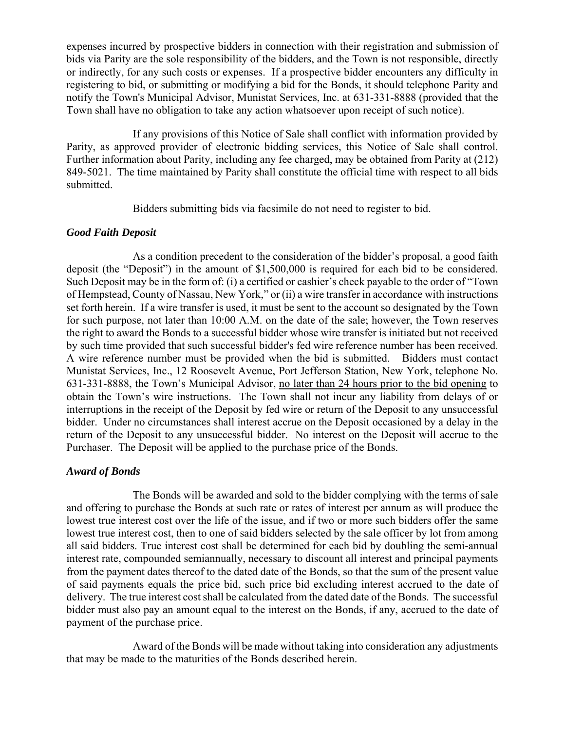expenses incurred by prospective bidders in connection with their registration and submission of bids via Parity are the sole responsibility of the bidders, and the Town is not responsible, directly or indirectly, for any such costs or expenses. If a prospective bidder encounters any difficulty in registering to bid, or submitting or modifying a bid for the Bonds, it should telephone Parity and notify the Town's Municipal Advisor, Munistat Services, Inc. at 631-331-8888 (provided that the Town shall have no obligation to take any action whatsoever upon receipt of such notice).

If any provisions of this Notice of Sale shall conflict with information provided by Parity, as approved provider of electronic bidding services, this Notice of Sale shall control. Further information about Parity, including any fee charged, may be obtained from Parity at (212) 849-5021. The time maintained by Parity shall constitute the official time with respect to all bids submitted.

Bidders submitting bids via facsimile do not need to register to bid.

## *Good Faith Deposit*

As a condition precedent to the consideration of the bidder's proposal, a good faith deposit (the "Deposit") in the amount of \$1,500,000 is required for each bid to be considered. Such Deposit may be in the form of: (i) a certified or cashier's check payable to the order of "Town of Hempstead, County of Nassau, New York," or (ii) a wire transfer in accordance with instructions set forth herein. If a wire transfer is used, it must be sent to the account so designated by the Town for such purpose, not later than 10:00 A.M. on the date of the sale; however, the Town reserves the right to award the Bonds to a successful bidder whose wire transfer is initiated but not received by such time provided that such successful bidder's fed wire reference number has been received. A wire reference number must be provided when the bid is submitted. Bidders must contact Munistat Services, Inc., 12 Roosevelt Avenue, Port Jefferson Station, New York, telephone No. 631-331-8888, the Town's Municipal Advisor, no later than 24 hours prior to the bid opening to obtain the Town's wire instructions. The Town shall not incur any liability from delays of or interruptions in the receipt of the Deposit by fed wire or return of the Deposit to any unsuccessful bidder. Under no circumstances shall interest accrue on the Deposit occasioned by a delay in the return of the Deposit to any unsuccessful bidder. No interest on the Deposit will accrue to the Purchaser. The Deposit will be applied to the purchase price of the Bonds.

# *Award of Bonds*

The Bonds will be awarded and sold to the bidder complying with the terms of sale and offering to purchase the Bonds at such rate or rates of interest per annum as will produce the lowest true interest cost over the life of the issue, and if two or more such bidders offer the same lowest true interest cost, then to one of said bidders selected by the sale officer by lot from among all said bidders. True interest cost shall be determined for each bid by doubling the semi-annual interest rate, compounded semiannually, necessary to discount all interest and principal payments from the payment dates thereof to the dated date of the Bonds, so that the sum of the present value of said payments equals the price bid, such price bid excluding interest accrued to the date of delivery. The true interest cost shall be calculated from the dated date of the Bonds. The successful bidder must also pay an amount equal to the interest on the Bonds, if any, accrued to the date of payment of the purchase price.

Award of the Bonds will be made without taking into consideration any adjustments that may be made to the maturities of the Bonds described herein.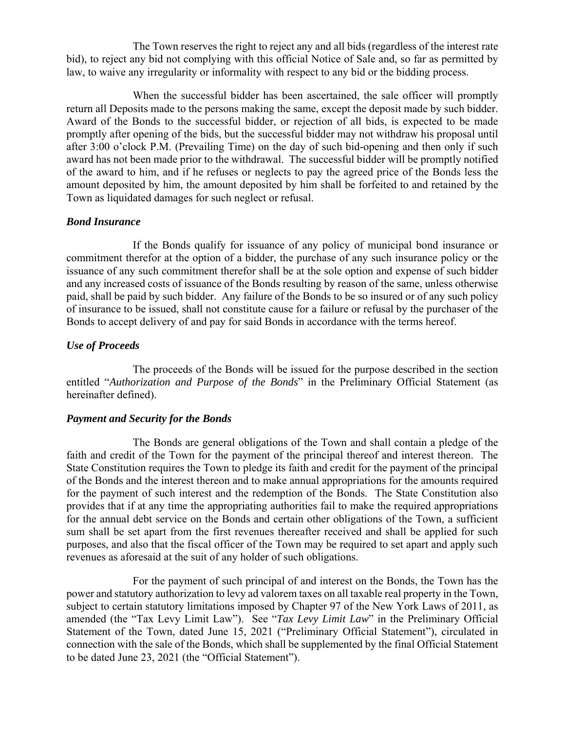The Town reserves the right to reject any and all bids (regardless of the interest rate bid), to reject any bid not complying with this official Notice of Sale and, so far as permitted by law, to waive any irregularity or informality with respect to any bid or the bidding process.

When the successful bidder has been ascertained, the sale officer will promptly return all Deposits made to the persons making the same, except the deposit made by such bidder. Award of the Bonds to the successful bidder, or rejection of all bids, is expected to be made promptly after opening of the bids, but the successful bidder may not withdraw his proposal until after 3:00 o'clock P.M. (Prevailing Time) on the day of such bid-opening and then only if such award has not been made prior to the withdrawal. The successful bidder will be promptly notified of the award to him, and if he refuses or neglects to pay the agreed price of the Bonds less the amount deposited by him, the amount deposited by him shall be forfeited to and retained by the Town as liquidated damages for such neglect or refusal.

## *Bond Insurance*

If the Bonds qualify for issuance of any policy of municipal bond insurance or commitment therefor at the option of a bidder, the purchase of any such insurance policy or the issuance of any such commitment therefor shall be at the sole option and expense of such bidder and any increased costs of issuance of the Bonds resulting by reason of the same, unless otherwise paid, shall be paid by such bidder. Any failure of the Bonds to be so insured or of any such policy of insurance to be issued, shall not constitute cause for a failure or refusal by the purchaser of the Bonds to accept delivery of and pay for said Bonds in accordance with the terms hereof.

# *Use of Proceeds*

The proceeds of the Bonds will be issued for the purpose described in the section entitled "*Authorization and Purpose of the Bonds*" in the Preliminary Official Statement (as hereinafter defined).

## *Payment and Security for the Bonds*

The Bonds are general obligations of the Town and shall contain a pledge of the faith and credit of the Town for the payment of the principal thereof and interest thereon. The State Constitution requires the Town to pledge its faith and credit for the payment of the principal of the Bonds and the interest thereon and to make annual appropriations for the amounts required for the payment of such interest and the redemption of the Bonds. The State Constitution also provides that if at any time the appropriating authorities fail to make the required appropriations for the annual debt service on the Bonds and certain other obligations of the Town, a sufficient sum shall be set apart from the first revenues thereafter received and shall be applied for such purposes, and also that the fiscal officer of the Town may be required to set apart and apply such revenues as aforesaid at the suit of any holder of such obligations.

For the payment of such principal of and interest on the Bonds, the Town has the power and statutory authorization to levy ad valorem taxes on all taxable real property in the Town, subject to certain statutory limitations imposed by Chapter 97 of the New York Laws of 2011, as amended (the "Tax Levy Limit Law"). See "*Tax Levy Limit Law*" in the Preliminary Official Statement of the Town, dated June 15, 2021 ("Preliminary Official Statement"), circulated in connection with the sale of the Bonds, which shall be supplemented by the final Official Statement to be dated June 23, 2021 (the "Official Statement").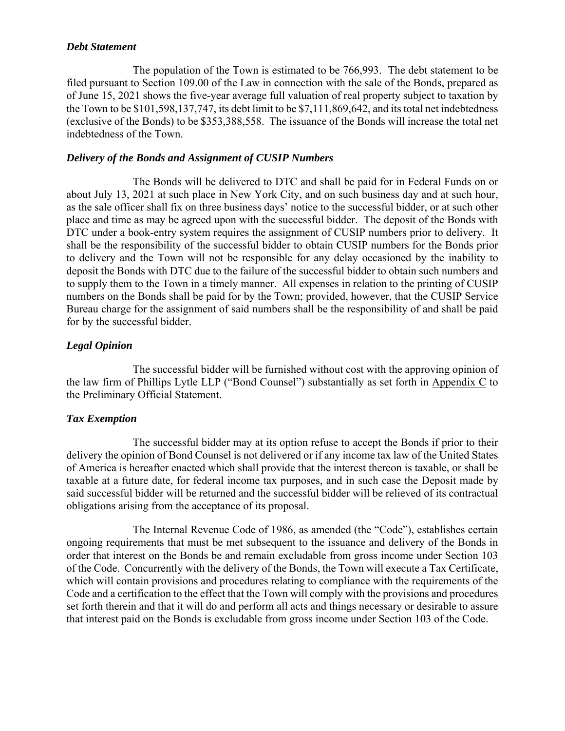#### *Debt Statement*

The population of the Town is estimated to be 766,993. The debt statement to be filed pursuant to Section 109.00 of the Law in connection with the sale of the Bonds, prepared as of June 15, 2021 shows the five-year average full valuation of real property subject to taxation by the Town to be \$101,598,137,747, its debt limit to be \$7,111,869,642, and its total net indebtedness (exclusive of the Bonds) to be \$353,388,558. The issuance of the Bonds will increase the total net indebtedness of the Town.

## *Delivery of the Bonds and Assignment of CUSIP Numbers*

The Bonds will be delivered to DTC and shall be paid for in Federal Funds on or about July 13, 2021 at such place in New York City, and on such business day and at such hour, as the sale officer shall fix on three business days' notice to the successful bidder, or at such other place and time as may be agreed upon with the successful bidder. The deposit of the Bonds with DTC under a book-entry system requires the assignment of CUSIP numbers prior to delivery. It shall be the responsibility of the successful bidder to obtain CUSIP numbers for the Bonds prior to delivery and the Town will not be responsible for any delay occasioned by the inability to deposit the Bonds with DTC due to the failure of the successful bidder to obtain such numbers and to supply them to the Town in a timely manner. All expenses in relation to the printing of CUSIP numbers on the Bonds shall be paid for by the Town; provided, however, that the CUSIP Service Bureau charge for the assignment of said numbers shall be the responsibility of and shall be paid for by the successful bidder.

## *Legal Opinion*

The successful bidder will be furnished without cost with the approving opinion of the law firm of Phillips Lytle LLP ("Bond Counsel") substantially as set forth in Appendix C to the Preliminary Official Statement.

## *Tax Exemption*

The successful bidder may at its option refuse to accept the Bonds if prior to their delivery the opinion of Bond Counsel is not delivered or if any income tax law of the United States of America is hereafter enacted which shall provide that the interest thereon is taxable, or shall be taxable at a future date, for federal income tax purposes, and in such case the Deposit made by said successful bidder will be returned and the successful bidder will be relieved of its contractual obligations arising from the acceptance of its proposal.

The Internal Revenue Code of 1986, as amended (the "Code"), establishes certain ongoing requirements that must be met subsequent to the issuance and delivery of the Bonds in order that interest on the Bonds be and remain excludable from gross income under Section 103 of the Code. Concurrently with the delivery of the Bonds, the Town will execute a Tax Certificate, which will contain provisions and procedures relating to compliance with the requirements of the Code and a certification to the effect that the Town will comply with the provisions and procedures set forth therein and that it will do and perform all acts and things necessary or desirable to assure that interest paid on the Bonds is excludable from gross income under Section 103 of the Code.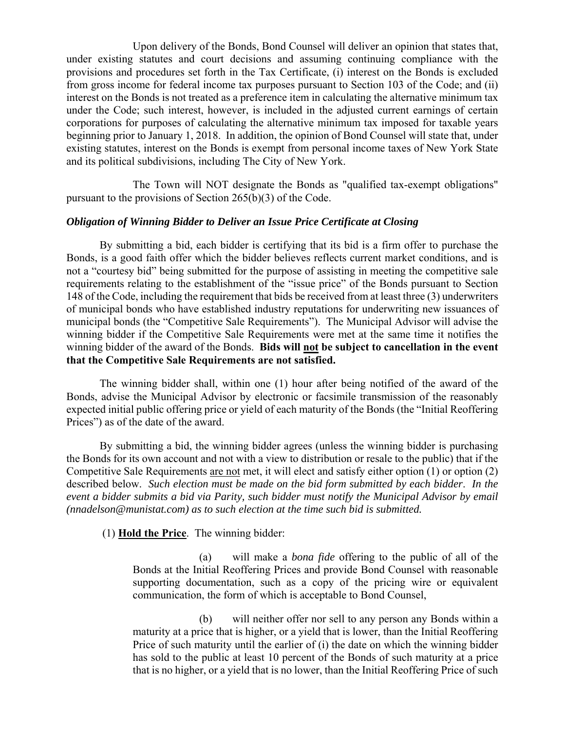Upon delivery of the Bonds, Bond Counsel will deliver an opinion that states that, under existing statutes and court decisions and assuming continuing compliance with the provisions and procedures set forth in the Tax Certificate, (i) interest on the Bonds is excluded from gross income for federal income tax purposes pursuant to Section 103 of the Code; and (ii) interest on the Bonds is not treated as a preference item in calculating the alternative minimum tax under the Code; such interest, however, is included in the adjusted current earnings of certain corporations for purposes of calculating the alternative minimum tax imposed for taxable years beginning prior to January 1, 2018. In addition, the opinion of Bond Counsel will state that, under existing statutes, interest on the Bonds is exempt from personal income taxes of New York State and its political subdivisions, including The City of New York.

The Town will NOT designate the Bonds as "qualified tax-exempt obligations" pursuant to the provisions of Section 265(b)(3) of the Code.

#### *Obligation of Winning Bidder to Deliver an Issue Price Certificate at Closing*

By submitting a bid, each bidder is certifying that its bid is a firm offer to purchase the Bonds, is a good faith offer which the bidder believes reflects current market conditions, and is not a "courtesy bid" being submitted for the purpose of assisting in meeting the competitive sale requirements relating to the establishment of the "issue price" of the Bonds pursuant to Section 148 of the Code, including the requirement that bids be received from at least three (3) underwriters of municipal bonds who have established industry reputations for underwriting new issuances of municipal bonds (the "Competitive Sale Requirements"). The Municipal Advisor will advise the winning bidder if the Competitive Sale Requirements were met at the same time it notifies the winning bidder of the award of the Bonds. **Bids will not be subject to cancellation in the event that the Competitive Sale Requirements are not satisfied.**

The winning bidder shall, within one (1) hour after being notified of the award of the Bonds, advise the Municipal Advisor by electronic or facsimile transmission of the reasonably expected initial public offering price or yield of each maturity of the Bonds (the "Initial Reoffering Prices") as of the date of the award.

By submitting a bid, the winning bidder agrees (unless the winning bidder is purchasing the Bonds for its own account and not with a view to distribution or resale to the public) that if the Competitive Sale Requirements are not met, it will elect and satisfy either option (1) or option (2) described below. *Such election must be made on the bid form submitted by each bidder*. *In the event a bidder submits a bid via Parity, such bidder must notify the Municipal Advisor by email (nnadelson@munistat.com) as to such election at the time such bid is submitted.* 

(1) **Hold the Price**. The winning bidder:

(a) will make a *bona fide* offering to the public of all of the Bonds at the Initial Reoffering Prices and provide Bond Counsel with reasonable supporting documentation, such as a copy of the pricing wire or equivalent communication, the form of which is acceptable to Bond Counsel,

(b) will neither offer nor sell to any person any Bonds within a maturity at a price that is higher, or a yield that is lower, than the Initial Reoffering Price of such maturity until the earlier of (i) the date on which the winning bidder has sold to the public at least 10 percent of the Bonds of such maturity at a price that is no higher, or a yield that is no lower, than the Initial Reoffering Price of such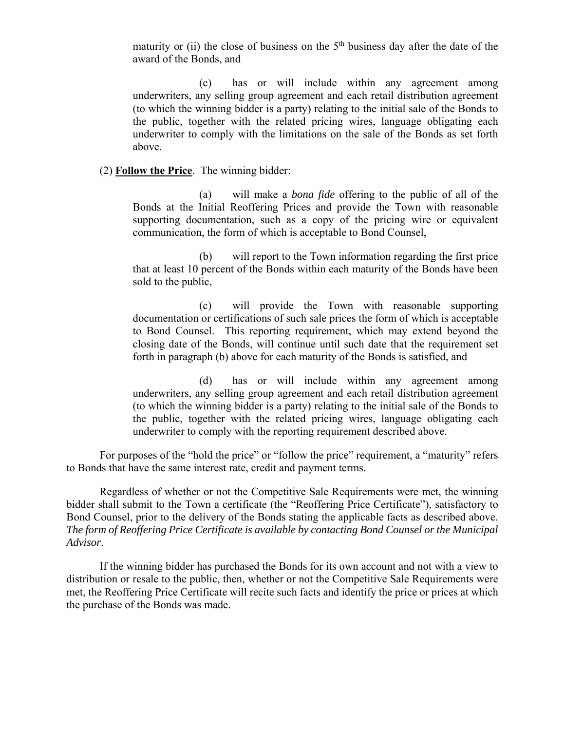maturity or (ii) the close of business on the  $5<sup>th</sup>$  business day after the date of the award of the Bonds, and

(c) has or will include within any agreement among underwriters, any selling group agreement and each retail distribution agreement (to which the winning bidder is a party) relating to the initial sale of the Bonds to the public, together with the related pricing wires, language obligating each underwriter to comply with the limitations on the sale of the Bonds as set forth above.

#### (2) **Follow the Price**. The winning bidder:

(a) will make a *bona fide* offering to the public of all of the Bonds at the Initial Reoffering Prices and provide the Town with reasonable supporting documentation, such as a copy of the pricing wire or equivalent communication, the form of which is acceptable to Bond Counsel,

(b) will report to the Town information regarding the first price that at least 10 percent of the Bonds within each maturity of the Bonds have been sold to the public,

(c) will provide the Town with reasonable supporting documentation or certifications of such sale prices the form of which is acceptable to Bond Counsel. This reporting requirement, which may extend beyond the closing date of the Bonds, will continue until such date that the requirement set forth in paragraph (b) above for each maturity of the Bonds is satisfied, and

(d) has or will include within any agreement among underwriters, any selling group agreement and each retail distribution agreement (to which the winning bidder is a party) relating to the initial sale of the Bonds to the public, together with the related pricing wires, language obligating each underwriter to comply with the reporting requirement described above.

For purposes of the "hold the price" or "follow the price" requirement, a "maturity" refers to Bonds that have the same interest rate, credit and payment terms.

Regardless of whether or not the Competitive Sale Requirements were met, the winning bidder shall submit to the Town a certificate (the "Reoffering Price Certificate"), satisfactory to Bond Counsel, prior to the delivery of the Bonds stating the applicable facts as described above. *The form of Reoffering Price Certificate is available by contacting Bond Counsel or the Municipal Advisor*.

If the winning bidder has purchased the Bonds for its own account and not with a view to distribution or resale to the public, then, whether or not the Competitive Sale Requirements were met, the Reoffering Price Certificate will recite such facts and identify the price or prices at which the purchase of the Bonds was made.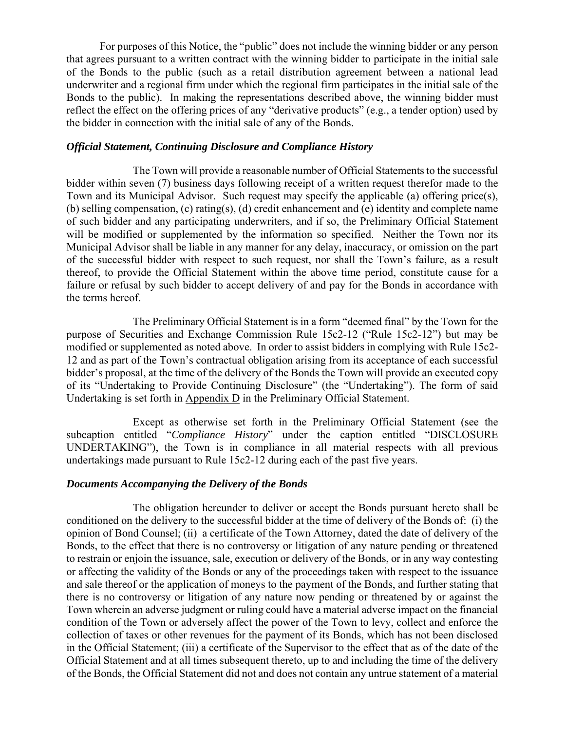For purposes of this Notice, the "public" does not include the winning bidder or any person that agrees pursuant to a written contract with the winning bidder to participate in the initial sale of the Bonds to the public (such as a retail distribution agreement between a national lead underwriter and a regional firm under which the regional firm participates in the initial sale of the Bonds to the public). In making the representations described above, the winning bidder must reflect the effect on the offering prices of any "derivative products" (e.g., a tender option) used by the bidder in connection with the initial sale of any of the Bonds.

#### *Official Statement, Continuing Disclosure and Compliance History*

The Town will provide a reasonable number of Official Statements to the successful bidder within seven (7) business days following receipt of a written request therefor made to the Town and its Municipal Advisor. Such request may specify the applicable (a) offering price(s), (b) selling compensation, (c) rating(s), (d) credit enhancement and (e) identity and complete name of such bidder and any participating underwriters, and if so, the Preliminary Official Statement will be modified or supplemented by the information so specified. Neither the Town nor its Municipal Advisor shall be liable in any manner for any delay, inaccuracy, or omission on the part of the successful bidder with respect to such request, nor shall the Town's failure, as a result thereof, to provide the Official Statement within the above time period, constitute cause for a failure or refusal by such bidder to accept delivery of and pay for the Bonds in accordance with the terms hereof.

The Preliminary Official Statement is in a form "deemed final" by the Town for the purpose of Securities and Exchange Commission Rule 15c2-12 ("Rule 15c2-12") but may be modified or supplemented as noted above. In order to assist bidders in complying with Rule 15c2- 12 and as part of the Town's contractual obligation arising from its acceptance of each successful bidder's proposal, at the time of the delivery of the Bonds the Town will provide an executed copy of its "Undertaking to Provide Continuing Disclosure" (the "Undertaking"). The form of said Undertaking is set forth in Appendix D in the Preliminary Official Statement.

Except as otherwise set forth in the Preliminary Official Statement (see the subcaption entitled "*Compliance History*" under the caption entitled "DISCLOSURE UNDERTAKING"), the Town is in compliance in all material respects with all previous undertakings made pursuant to Rule 15c2-12 during each of the past five years.

## *Documents Accompanying the Delivery of the Bonds*

The obligation hereunder to deliver or accept the Bonds pursuant hereto shall be conditioned on the delivery to the successful bidder at the time of delivery of the Bonds of: (i) the opinion of Bond Counsel; (ii) a certificate of the Town Attorney, dated the date of delivery of the Bonds, to the effect that there is no controversy or litigation of any nature pending or threatened to restrain or enjoin the issuance, sale, execution or delivery of the Bonds, or in any way contesting or affecting the validity of the Bonds or any of the proceedings taken with respect to the issuance and sale thereof or the application of moneys to the payment of the Bonds, and further stating that there is no controversy or litigation of any nature now pending or threatened by or against the Town wherein an adverse judgment or ruling could have a material adverse impact on the financial condition of the Town or adversely affect the power of the Town to levy, collect and enforce the collection of taxes or other revenues for the payment of its Bonds, which has not been disclosed in the Official Statement; (iii) a certificate of the Supervisor to the effect that as of the date of the Official Statement and at all times subsequent thereto, up to and including the time of the delivery of the Bonds, the Official Statement did not and does not contain any untrue statement of a material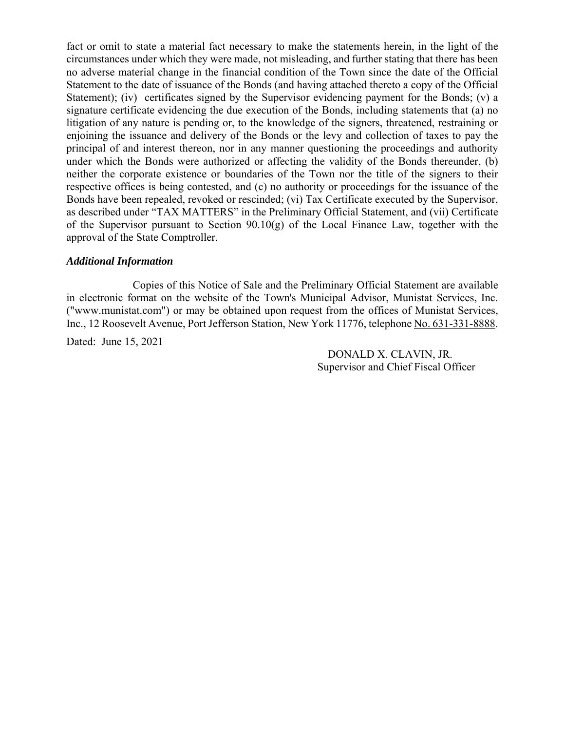fact or omit to state a material fact necessary to make the statements herein, in the light of the circumstances under which they were made, not misleading, and further stating that there has been no adverse material change in the financial condition of the Town since the date of the Official Statement to the date of issuance of the Bonds (and having attached thereto a copy of the Official Statement); (iv) certificates signed by the Supervisor evidencing payment for the Bonds; (v) a signature certificate evidencing the due execution of the Bonds, including statements that (a) no litigation of any nature is pending or, to the knowledge of the signers, threatened, restraining or enjoining the issuance and delivery of the Bonds or the levy and collection of taxes to pay the principal of and interest thereon, nor in any manner questioning the proceedings and authority under which the Bonds were authorized or affecting the validity of the Bonds thereunder, (b) neither the corporate existence or boundaries of the Town nor the title of the signers to their respective offices is being contested, and (c) no authority or proceedings for the issuance of the Bonds have been repealed, revoked or rescinded; (vi) Tax Certificate executed by the Supervisor, as described under "TAX MATTERS" in the Preliminary Official Statement, and (vii) Certificate of the Supervisor pursuant to Section  $90.10(g)$  of the Local Finance Law, together with the approval of the State Comptroller.

#### *Additional Information*

Copies of this Notice of Sale and the Preliminary Official Statement are available in electronic format on the website of the Town's Municipal Advisor, Munistat Services, Inc. ("www.munistat.com") or may be obtained upon request from the offices of Munistat Services, Inc., 12 Roosevelt Avenue, Port Jefferson Station, New York 11776, telephone No. 631-331-8888.

Dated: June 15, 2021

DONALD X. CLAVIN, JR. Supervisor and Chief Fiscal Officer